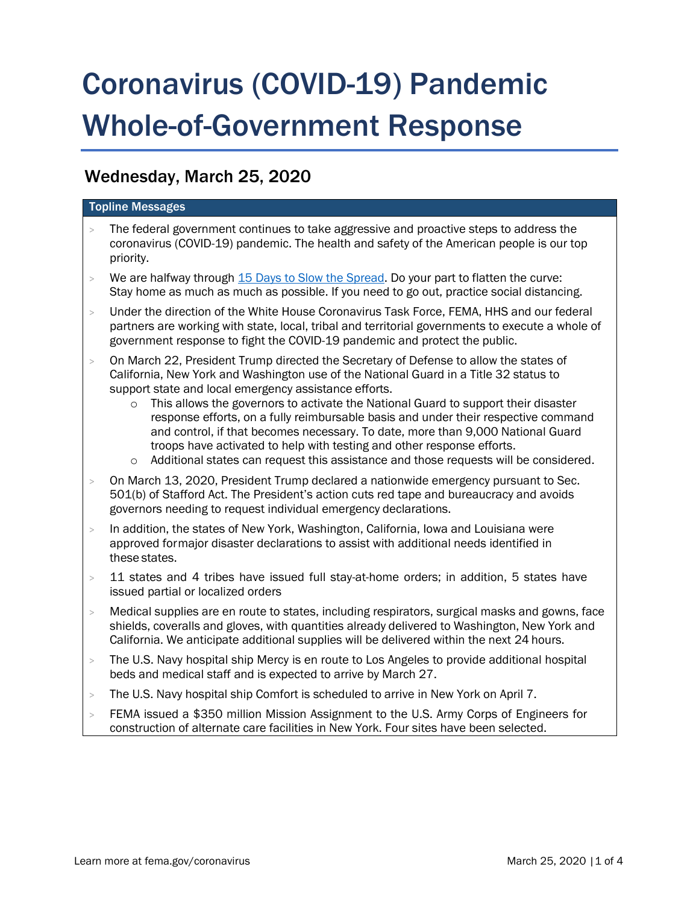# Coronavirus (COVID-19) Pandemic Whole-of-Government Response

# Wednesday, March 25, 2020

# Topline Messages

- The federal government continues to take aggressive and proactive steps to address the coronavirus (COVID-19) pandemic. The health and safety of the American people is our top priority.
- $>$  We are halfway through [15 Days to Slow the Spread.](https://www.whitehouse.gov/wp-content/uploads/2020/03/03.16.20_coronavirus-guidance_8.5x11_315PM.pdf) Do your part to flatten the curve: Stay home as much as much as possible. If you need to go out, practice social distancing.
- > Under the direction of the White House Coronavirus Task Force, FEMA, HHS and our federal partners are working with state, local, tribal and territorial governments to execute a whole of government response to fight the COVID-19 pandemic and protect the public.
- > On March 22, President Trump directed the Secretary of Defense to allow the states of California, New York and Washington use of the National Guard in a Title 32 status to support state and local emergency assistance efforts.
	- $\circ$  This allows the governors to activate the National Guard to support their disaster response efforts, on a fully reimbursable basis and under their respective command and control, if that becomes necessary. To date, more than 9,000 National Guard troops have activated to help with testing and other response efforts.
	- o Additional states can request this assistance and those requests will be considered.
- > On March 13, 2020, President Trump declared a nationwide emergency pursuant to Sec. 501(b) of Stafford Act. The President's action cuts red tape and bureaucracy and avoids governors needing to request individual emergency declarations.
- > In addition, the states of New York, Washington, California, Iowa and Louisiana were approved formajor disaster declarations to assist with additional needs identified in these states.
- $>$  11 states and 4 tribes have issued full stay-at-home orders; in addition, 5 states have issued partial or localized orders
- > Medical supplies are en route to states, including respirators, surgical masks and gowns, face shields, coveralls and gloves, with quantities already delivered to Washington, New York and California. We anticipate additional supplies will be delivered within the next 24 hours.
- > The U.S. Navy hospital ship Mercy is en route to Los Angeles to provide additional hospital beds and medical staff and is expected to arrive by March 27.
- > The U.S. Navy hospital ship Comfort is scheduled to arrive in New York on April 7.
- > FEMA issued a \$350 million Mission Assignment to the U.S. Army Corps of Engineers for construction of alternate care facilities in New York. Four sites have been selected.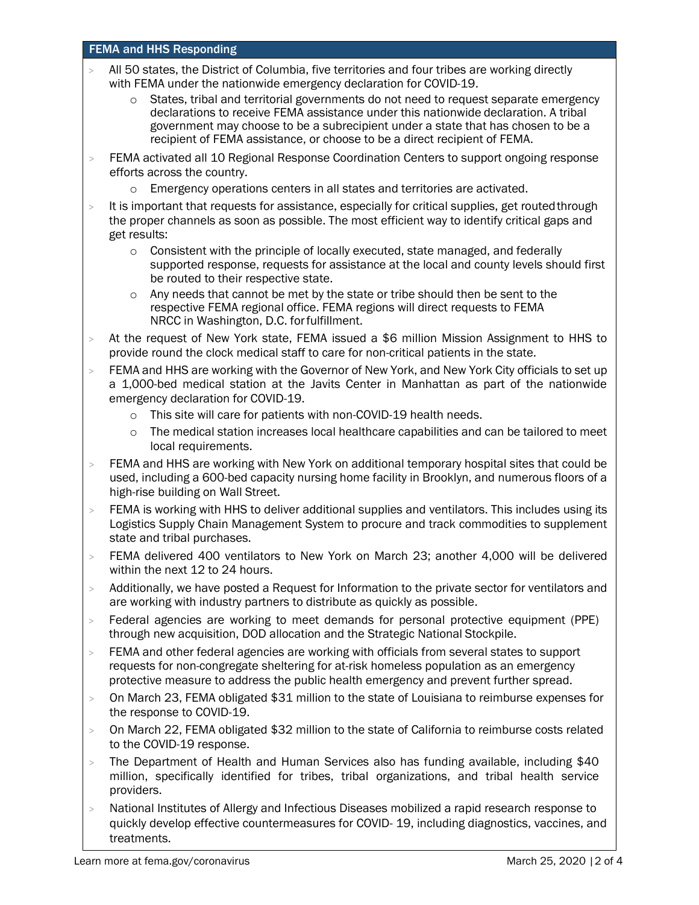## FEMA and HHS Responding

- All 50 states, the District of Columbia, five territories and four tribes are working directly with FEMA under the nationwide emergency declaration for COVID-19.
	- o States, tribal and territorial governments do not need to request separate emergency declarations to receive FEMA assistance under this nationwide declaration. A tribal government may choose to be a subrecipient under a state that has chosen to be a recipient of FEMA assistance, or choose to be a direct recipient of FEMA.
- > FEMA activated all 10 Regional Response Coordination Centers to support ongoing response efforts across the country.
	- o Emergency operations centers in all states and territories are activated.
- > It is important that requests for assistance, especially for critical supplies, get routed through the proper channels as soon as possible. The most efficient way to identify critical gaps and get results:
	- $\circ$  Consistent with the principle of locally executed, state managed, and federally supported response, requests for assistance at the local and county levels should first be routed to their respective state.
	- $\circ$  Any needs that cannot be met by the state or tribe should then be sent to the respective FEMA regional office. FEMA regions will direct requests to FEMA NRCC in Washington, D.C. forfulfillment.
- > At the request of New York state, FEMA issued a \$6 million Mission Assignment to HHS to provide round the clock medical staff to care for non-critical patients in the state.
- > FEMA and HHS are working with the Governor of New York, and New York City officials to set up a 1,000-bed medical station at the Javits Center in Manhattan as part of the nationwide emergency declaration for COVID-19.
	- o This site will care for patients with non-COVID-19 health needs.
	- $\circ$  The medical station increases local healthcare capabilities and can be tailored to meet local requirements.
- > FEMA and HHS are working with New York on additional temporary hospital sites that could be used, including a 600-bed capacity nursing home facility in Brooklyn, and numerous floors of a high-rise building on Wall Street.
- > FEMA is working with HHS to deliver additional supplies and ventilators. This includes using its Logistics Supply Chain Management System to procure and track commodities to supplement state and tribal purchases.
- > FEMA delivered 400 ventilators to New York on March 23; another 4,000 will be delivered within the next 12 to 24 hours.
- > Additionally, we have posted a Request for Information to the private sector for ventilators and are working with industry partners to distribute as quickly as possible.
- > Federal agencies are working to meet demands for personal protective equipment (PPE) through new acquisition, DOD allocation and the Strategic National Stockpile.
- > FEMA and other federal agencies are working with officials from several states to support requests for non-congregate sheltering for at-risk homeless population as an emergency protective measure to address the public health emergency and prevent further spread.
- > On March 23, FEMA obligated \$31 million to the state of Louisiana to reimburse expenses for the response to COVID-19.
- > On March 22, FEMA obligated \$32 million to the state of California to reimburse costs related to the COVID-19 response.
- > The Department of Health and Human Services also has funding available, including \$40 million, specifically identified for tribes, tribal organizations, and tribal health service providers.
- > National Institutes of Allergy and Infectious Diseases mobilized a rapid research response to quickly develop effective countermeasures for COVID- 19, including diagnostics, vaccines, and treatments.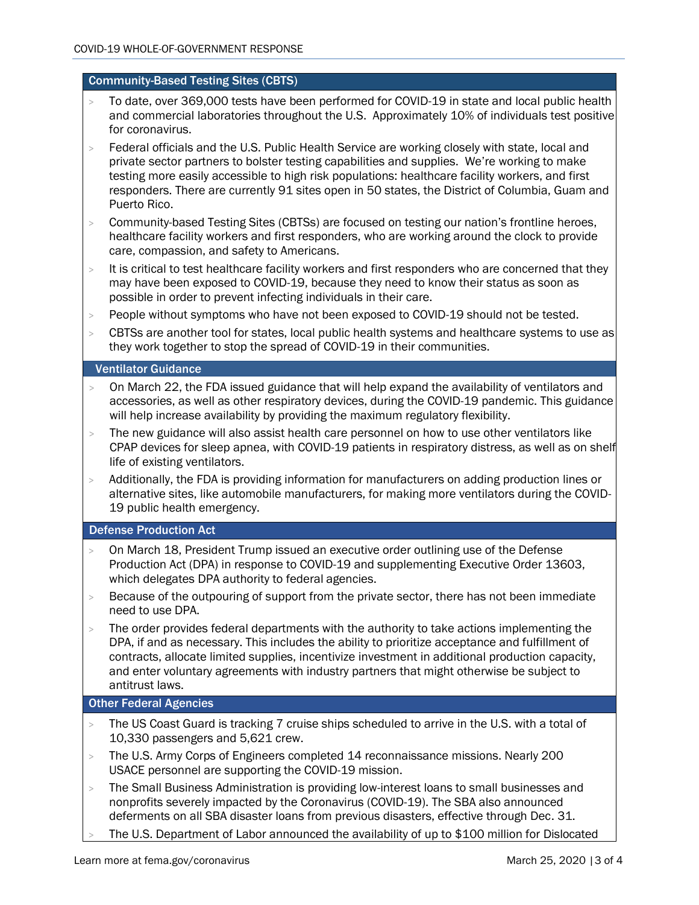#### Community-Based Testing Sites (CBTS)

- > To date, over 369,000 tests have been performed for COVID-19 in state and local public health and commercial laboratories throughout the U.S. Approximately 10% of individuals test positive for coronavirus.
- > Federal officials and the U.S. Public Health Service are working closely with state, local and private sector partners to bolster testing capabilities and supplies. We're working to make testing more easily accessible to high risk populations: healthcare facility workers, and first responders. There are currently 91 sites open in 50 states, the District of Columbia, Guam and Puerto Rico.
- > Community-based Testing Sites (CBTSs) are focused on testing our nation's frontline heroes, healthcare facility workers and first responders, who are working around the clock to provide care, compassion, and safety to Americans.
- > It is critical to test healthcare facility workers and first responders who are concerned that they may have been exposed to COVID-19, because they need to know their status as soon as possible in order to prevent infecting individuals in their care.
- > People without symptoms who have not been exposed to COVID-19 should not be tested.
- > CBTSs are another tool for states, local public health systems and healthcare systems to use as they work together to stop the spread of COVID-19 in their communities.

#### Ventilator Guidance

- $>$  On March 22, the FDA issued guidance that will help expand the availability of ventilators and accessories, as well as other respiratory devices, during the COVID-19 pandemic. This guidance will help increase availability by providing the maximum regulatory flexibility.
- > The new guidance will also assist health care personnel on how to use other ventilators like CPAP devices for sleep apnea, with COVID-19 patients in respiratory distress, as well as on shelf life of existing ventilators.
- > Additionally, the FDA is providing information for manufacturers on adding production lines or alternative sites, like automobile manufacturers, for making more ventilators during the COVID-19 public health emergency.

# Defense Production Act

- > On March 18, President Trump issued an executive order outlining use of the Defense Production Act (DPA) in response to COVID-19 and supplementing Executive [Order 13603,](https://www.govinfo.gov/content/pkg/FR-2012-03-22/pdf/2012-7019.pdf) which delegates DPA authority to federal agencies.
- > Because of the outpouring of support from the private sector, there has not been immediate need to use DPA.
- > The order provides federal departments with the authority to take actions implementing the DPA, if and as necessary. This includes the ability to prioritize acceptance and fulfillment of contracts, allocate limited supplies, incentivize investment in additional production capacity, and enter voluntary agreements with industry partners that might otherwise be subject to antitrust laws.

## Other Federal Agencies

- $>$  The US Coast Guard is tracking 7 cruise ships scheduled to arrive in the U.S. with a total of 10,330 passengers and 5,621 crew.
- > The U.S. Army Corps of Engineers completed 14 reconnaissance missions. Nearly 200 USACE personnel are supporting the COVID-19 mission.
- > The Small Business Administration is providing low-interest loans to small businesses and nonprofits severely impacted by the Coronavirus (COVID-19). The SBA also announced deferments on all SBA disaster loans from previous disasters, effective through Dec. 31.
- The U.S. Department of Labor announced the availability of up to \$100 million for Dislocated